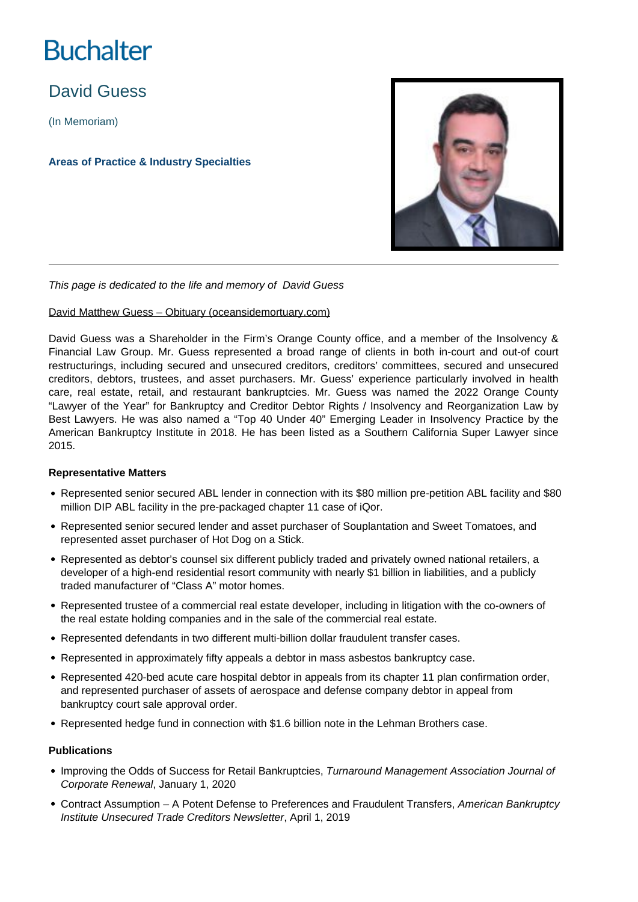# **Buchalter**

# David Guess

(In Memoriam)

**Areas of Practice & Industry Specialties**



This page is dedicated to the life and memory of David Guess

# [David Matthew Guess – Obituary \(oceansidemortuary.com\)](https://www.oceansidemortuary.com/obituaries/David-Matthew-Guess?obId=25113882#/celebrationWall)

David Guess was a Shareholder in the Firm's Orange County office, and a member of the Insolvency & Financial Law Group. Mr. Guess represented a broad range of clients in both in-court and out-of court restructurings, including secured and unsecured creditors, creditors' committees, secured and unsecured creditors, debtors, trustees, and asset purchasers. Mr. Guess' experience particularly involved in health care, real estate, retail, and restaurant bankruptcies. Mr. Guess was named the 2022 Orange County "Lawyer of the Year" for Bankruptcy and Creditor Debtor Rights / Insolvency and Reorganization Law by Best Lawyers. He was also named a "Top 40 Under 40" Emerging Leader in Insolvency Practice by the American Bankruptcy Institute in 2018. He has been listed as a Southern California Super Lawyer since 2015.

# **Representative Matters**

- Represented senior secured ABL lender in connection with its \$80 million pre-petition ABL facility and \$80 million DIP ABL facility in the pre-packaged chapter 11 case of iQor.
- Represented senior secured lender and asset purchaser of Souplantation and Sweet Tomatoes, and represented asset purchaser of Hot Dog on a Stick.
- Represented as debtor's counsel six different publicly traded and privately owned national retailers, a developer of a high-end residential resort community with nearly \$1 billion in liabilities, and a publicly traded manufacturer of "Class A" motor homes.
- Represented trustee of a commercial real estate developer, including in litigation with the co-owners of the real estate holding companies and in the sale of the commercial real estate.
- Represented defendants in two different multi-billion dollar fraudulent transfer cases.
- Represented in approximately fifty appeals a debtor in mass asbestos bankruptcy case.
- Represented 420-bed acute care hospital debtor in appeals from its chapter 11 plan confirmation order, and represented purchaser of assets of aerospace and defense company debtor in appeal from bankruptcy court sale approval order.
- Represented hedge fund in connection with \$1.6 billion note in the Lehman Brothers case.

#### **Publications**

- Improving the Odds of Success for Retail Bankruptcies, Turnaround Management Association Journal of Corporate Renewal, January 1, 2020
- Contract Assumption A Potent Defense to Preferences and Fraudulent Transfers, American Bankruptcy Institute Unsecured Trade Creditors Newsletter, April 1, 2019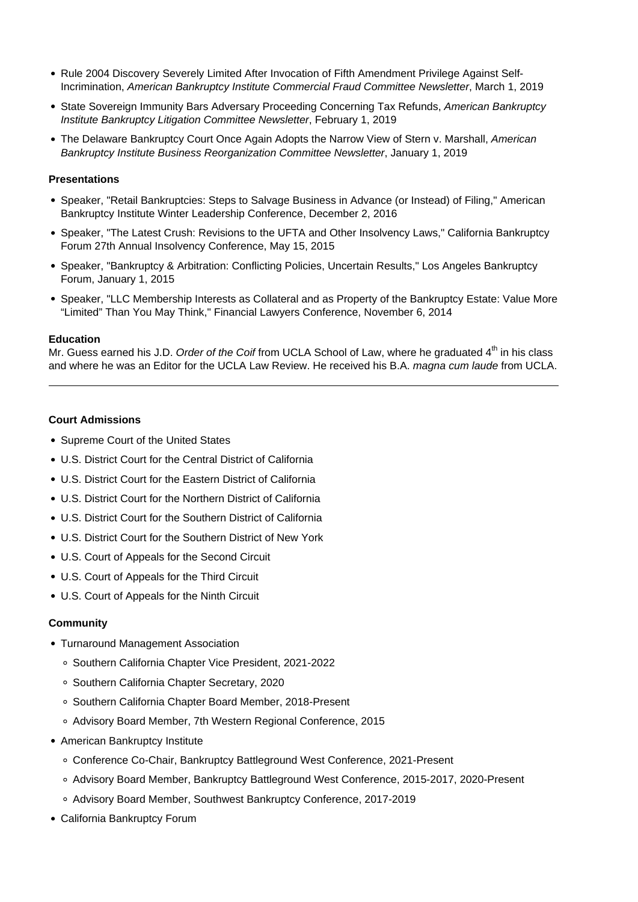- Rule 2004 Discovery Severely Limited After Invocation of Fifth Amendment Privilege Against Self-Incrimination, American Bankruptcy Institute Commercial Fraud Committee Newsletter, March 1, 2019
- State Sovereign Immunity Bars Adversary Proceeding Concerning Tax Refunds, American Bankruptcy Institute Bankruptcy Litigation Committee Newsletter, February 1, 2019
- The Delaware Bankruptcy Court Once Again Adopts the Narrow View of Stern v. Marshall, American Bankruptcy Institute Business Reorganization Committee Newsletter, January 1, 2019

#### **Presentations**

- Speaker, "Retail Bankruptcies: Steps to Salvage Business in Advance (or Instead) of Filing," American Bankruptcy Institute Winter Leadership Conference, December 2, 2016
- Speaker, "The Latest Crush: Revisions to the UFTA and Other Insolvency Laws," California Bankruptcy Forum 27th Annual Insolvency Conference, May 15, 2015
- Speaker, "Bankruptcy & Arbitration: Conflicting Policies, Uncertain Results," Los Angeles Bankruptcy Forum, January 1, 2015
- Speaker, "LLC Membership Interests as Collateral and as Property of the Bankruptcy Estate: Value More "Limited" Than You May Think," Financial Lawyers Conference, November 6, 2014

#### **Education**

Mr. Guess earned his J.D. Order of the Coif from UCLA School of Law, where he graduated  $4<sup>th</sup>$  in his class and where he was an Editor for the UCLA Law Review. He received his B.A. magna cum laude from UCLA.

### **Court Admissions**

- Supreme Court of the United States
- U.S. District Court for the Central District of California
- U.S. District Court for the Eastern District of California
- U.S. District Court for the Northern District of California
- U.S. District Court for the Southern District of California
- U.S. District Court for the Southern District of New York
- U.S. Court of Appeals for the Second Circuit
- U.S. Court of Appeals for the Third Circuit
- U.S. Court of Appeals for the Ninth Circuit

#### **Community**

- Turnaround Management Association
	- Southern California Chapter Vice President, 2021-2022
	- Southern California Chapter Secretary, 2020
	- Southern California Chapter Board Member, 2018-Present
	- Advisory Board Member, 7th Western Regional Conference, 2015
- American Bankruptcy Institute
	- Conference Co-Chair, Bankruptcy Battleground West Conference, 2021-Present
	- Advisory Board Member, Bankruptcy Battleground West Conference, 2015-2017, 2020-Present
	- Advisory Board Member, Southwest Bankruptcy Conference, 2017-2019
- California Bankruptcy Forum